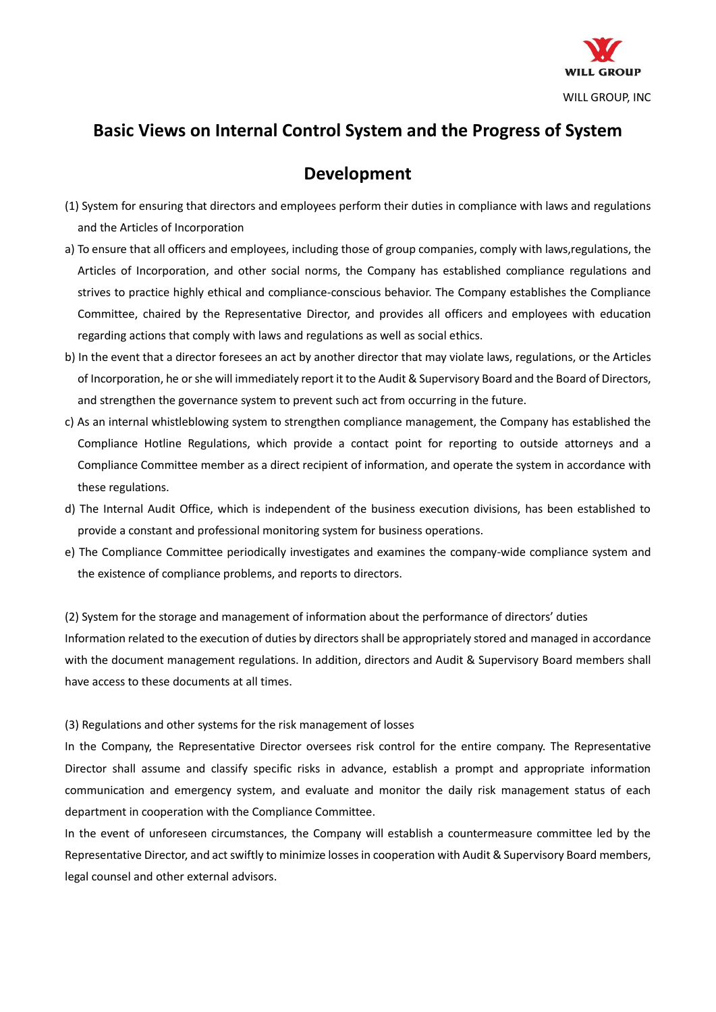

## **Basic Views on Internal Control System and the Progress of System**

## **Development**

- (1) System for ensuring that directors and employees perform their duties in compliance with laws and regulations and the Articles of Incorporation
- a) To ensure that all officers and employees, including those of group companies, comply with laws,regulations, the Articles of Incorporation, and other social norms, the Company has established compliance regulations and strives to practice highly ethical and compliance-conscious behavior. The Company establishes the Compliance Committee, chaired by the Representative Director, and provides all officers and employees with education regarding actions that comply with laws and regulations as well as social ethics.
- b) In the event that a director foresees an act by another director that may violate laws, regulations, or the Articles of Incorporation, he or she will immediately report it to the Audit & Supervisory Board and the Board of Directors, and strengthen the governance system to prevent such act from occurring in the future.
- c) As an internal whistleblowing system to strengthen compliance management, the Company has established the Compliance Hotline Regulations, which provide a contact point for reporting to outside attorneys and a Compliance Committee member as a direct recipient of information, and operate the system in accordance with these regulations.
- d) The Internal Audit Office, which is independent of the business execution divisions, has been established to provide a constant and professional monitoring system for business operations.
- e) The Compliance Committee periodically investigates and examines the company-wide compliance system and the existence of compliance problems, and reports to directors.

(2) System for the storage and management of information about the performance of directors' duties Information related to the execution of duties by directors shall be appropriately stored and managed in accordance with the document management regulations. In addition, directors and Audit & Supervisory Board members shall have access to these documents at all times.

(3) Regulations and other systems for the risk management of losses

In the Company, the Representative Director oversees risk control for the entire company. The Representative Director shall assume and classify specific risks in advance, establish a prompt and appropriate information communication and emergency system, and evaluate and monitor the daily risk management status of each department in cooperation with the Compliance Committee.

In the event of unforeseen circumstances, the Company will establish a countermeasure committee led by the Representative Director, and act swiftly to minimize losses in cooperation with Audit & Supervisory Board members, legal counsel and other external advisors.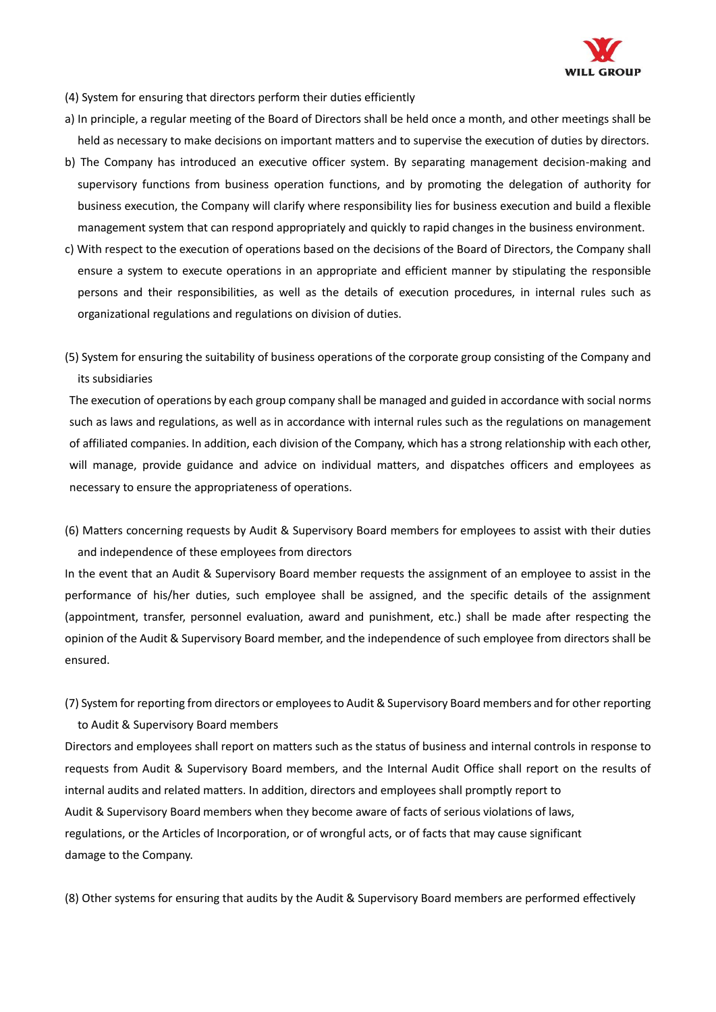

- (4) System for ensuring that directors perform their duties efficiently
- a) In principle, a regular meeting of the Board of Directors shall be held once a month, and other meetings shall be held as necessary to make decisions on important matters and to supervise the execution of duties by directors.
- b) The Company has introduced an executive officer system. By separating management decision-making and supervisory functions from business operation functions, and by promoting the delegation of authority for business execution, the Company will clarify where responsibility lies for business execution and build a flexible management system that can respond appropriately and quickly to rapid changes in the business environment.
- c) With respect to the execution of operations based on the decisions of the Board of Directors, the Company shall ensure a system to execute operations in an appropriate and efficient manner by stipulating the responsible persons and their responsibilities, as well as the details of execution procedures, in internal rules such as organizational regulations and regulations on division of duties.
- (5) System for ensuring the suitability of business operations of the corporate group consisting of the Company and its subsidiaries

The execution of operations by each group company shall be managed and guided in accordance with social norms such as laws and regulations, as well as in accordance with internal rules such as the regulations on management of affiliated companies. In addition, each division of the Company, which has a strong relationship with each other, will manage, provide guidance and advice on individual matters, and dispatches officers and employees as necessary to ensure the appropriateness of operations.

(6) Matters concerning requests by Audit & Supervisory Board members for employees to assist with their duties and independence of these employees from directors

In the event that an Audit & Supervisory Board member requests the assignment of an employee to assist in the performance of his/her duties, such employee shall be assigned, and the specific details of the assignment (appointment, transfer, personnel evaluation, award and punishment, etc.) shall be made after respecting the opinion of the Audit & Supervisory Board member, and the independence of such employee from directors shall be ensured.

(7) System for reporting from directors or employees to Audit & Supervisory Board members and for other reporting to Audit & Supervisory Board members

Directors and employees shall report on matters such as the status of business and internal controls in response to requests from Audit & Supervisory Board members, and the Internal Audit Office shall report on the results of internal audits and related matters. In addition, directors and employees shall promptly report to Audit & Supervisory Board members when they become aware of facts of serious violations of laws, regulations, or the Articles of Incorporation, or of wrongful acts, or of facts that may cause significant damage to the Company.

(8) Other systems for ensuring that audits by the Audit & Supervisory Board members are performed effectively